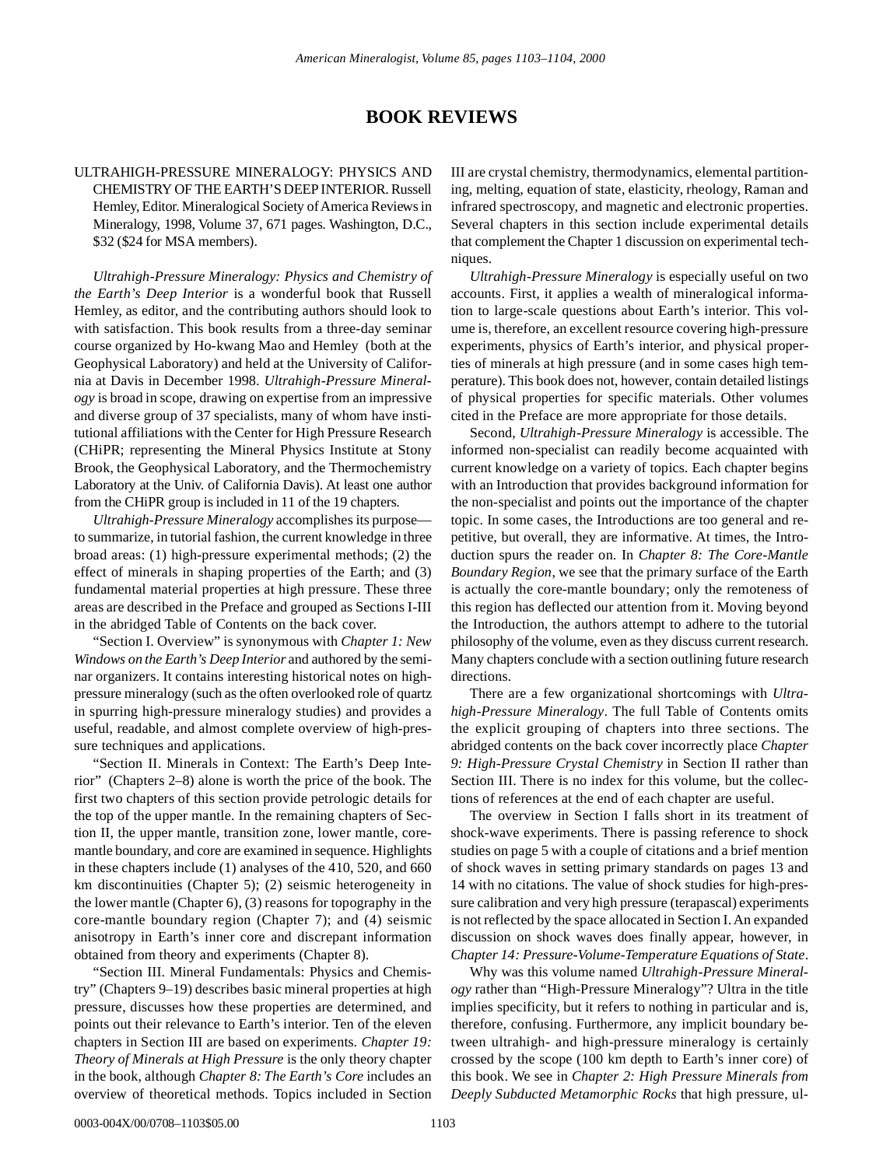## **BOOK REVIEWS**

## ULTRAHIGH-PRESSURE MINERALOGY: PHYSICS AND CHEMISTRY OF THE EARTH'S DEEP INTERIOR. Russell Hemley, Editor. Mineralogical Society of America Reviews in Mineralogy, 1998, Volume 37, 671 pages. Washington, D.C., \$32 (\$24 for MSA members).

*Ultrahigh-Pressure Mineralogy: Physics and Chemistry of the Earth's Deep Interior* is a wonderful book that Russell Hemley, as editor, and the contributing authors should look to with satisfaction. This book results from a three-day seminar course organized by Ho-kwang Mao and Hemley (both at the Geophysical Laboratory) and held at the University of California at Davis in December 1998. *Ultrahigh-Pressure Mineralogy* is broad in scope, drawing on expertise from an impressive and diverse group of 37 specialists, many of whom have institutional affiliations with the Center for High Pressure Research (CHiPR; representing the Mineral Physics Institute at Stony Brook, the Geophysical Laboratory, and the Thermochemistry Laboratory at the Univ. of California Davis). At least one author from the CHiPR group is included in 11 of the 19 chapters.

*Ultrahigh-Pressure Mineralogy* accomplishes its purpose to summarize, in tutorial fashion, the current knowledge in three broad areas: (1) high-pressure experimental methods; (2) the effect of minerals in shaping properties of the Earth; and (3) fundamental material properties at high pressure. These three areas are described in the Preface and grouped as Sections I-III in the abridged Table of Contents on the back cover.

"Section I. Overview" is synonymous with *Chapter 1: New Windows on the Earth's Deep Interior* and authored by the seminar organizers. It contains interesting historical notes on highpressure mineralogy (such as the often overlooked role of quartz in spurring high-pressure mineralogy studies) and provides a useful, readable, and almost complete overview of high-pressure techniques and applications.

"Section II. Minerals in Context: The Earth's Deep Interior" (Chapters 2–8) alone is worth the price of the book. The first two chapters of this section provide petrologic details for the top of the upper mantle. In the remaining chapters of Section II, the upper mantle, transition zone, lower mantle, coremantle boundary, and core are examined in sequence. Highlights in these chapters include (1) analyses of the 410, 520, and 660 km discontinuities (Chapter 5); (2) seismic heterogeneity in the lower mantle (Chapter 6), (3) reasons for topography in the core-mantle boundary region (Chapter 7); and (4) seismic anisotropy in Earth's inner core and discrepant information obtained from theory and experiments (Chapter 8).

"Section III. Mineral Fundamentals: Physics and Chemistry" (Chapters 9–19) describes basic mineral properties at high pressure, discusses how these properties are determined, and points out their relevance to Earth's interior. Ten of the eleven chapters in Section III are based on experiments. *Chapter 19: Theory of Minerals at High Pressure* is the only theory chapter in the book, although *Chapter 8: The Earth's Core* includes an overview of theoretical methods. Topics included in Section III are crystal chemistry, thermodynamics, elemental partitioning, melting, equation of state, elasticity, rheology, Raman and infrared spectroscopy, and magnetic and electronic properties. Several chapters in this section include experimental details that complement the Chapter 1 discussion on experimental techniques.

*Ultrahigh-Pressure Mineralogy* is especially useful on two accounts. First, it applies a wealth of mineralogical information to large-scale questions about Earth's interior. This volume is, therefore, an excellent resource covering high-pressure experiments, physics of Earth's interior, and physical properties of minerals at high pressure (and in some cases high temperature). This book does not, however, contain detailed listings of physical properties for specific materials. Other volumes cited in the Preface are more appropriate for those details.

Second, *Ultrahigh-Pressure Mineralogy* is accessible. The informed non-specialist can readily become acquainted with current knowledge on a variety of topics. Each chapter begins with an Introduction that provides background information for the non-specialist and points out the importance of the chapter topic. In some cases, the Introductions are too general and repetitive, but overall, they are informative. At times, the Introduction spurs the reader on. In *Chapter 8: The Core-Mantle Boundary Region*, we see that the primary surface of the Earth is actually the core-mantle boundary; only the remoteness of this region has deflected our attention from it. Moving beyond the Introduction, the authors attempt to adhere to the tutorial philosophy of the volume, even as they discuss current research. Many chapters conclude with a section outlining future research directions.

There are a few organizational shortcomings with *Ultrahigh-Pressure Mineralogy*. The full Table of Contents omits the explicit grouping of chapters into three sections. The abridged contents on the back cover incorrectly place *Chapter 9: High-Pressure Crystal Chemistry* in Section II rather than Section III. There is no index for this volume, but the collections of references at the end of each chapter are useful.

The overview in Section I falls short in its treatment of shock-wave experiments. There is passing reference to shock studies on page 5 with a couple of citations and a brief mention of shock waves in setting primary standards on pages 13 and 14 with no citations. The value of shock studies for high-pressure calibration and very high pressure (terapascal) experiments is not reflected by the space allocated in Section I. An expanded discussion on shock waves does finally appear, however, in *Chapter 14: Pressure-Volume-Temperature Equations of State*.

Why was this volume named *Ultrahigh-Pressure Mineralogy* rather than "High-Pressure Mineralogy"? Ultra in the title implies specificity, but it refers to nothing in particular and is, therefore, confusing. Furthermore, any implicit boundary between ultrahigh- and high-pressure mineralogy is certainly crossed by the scope (100 km depth to Earth's inner core) of this book. We see in *Chapter 2: High Pressure Minerals from Deeply Subducted Metamorphic Rocks* that high pressure, ul